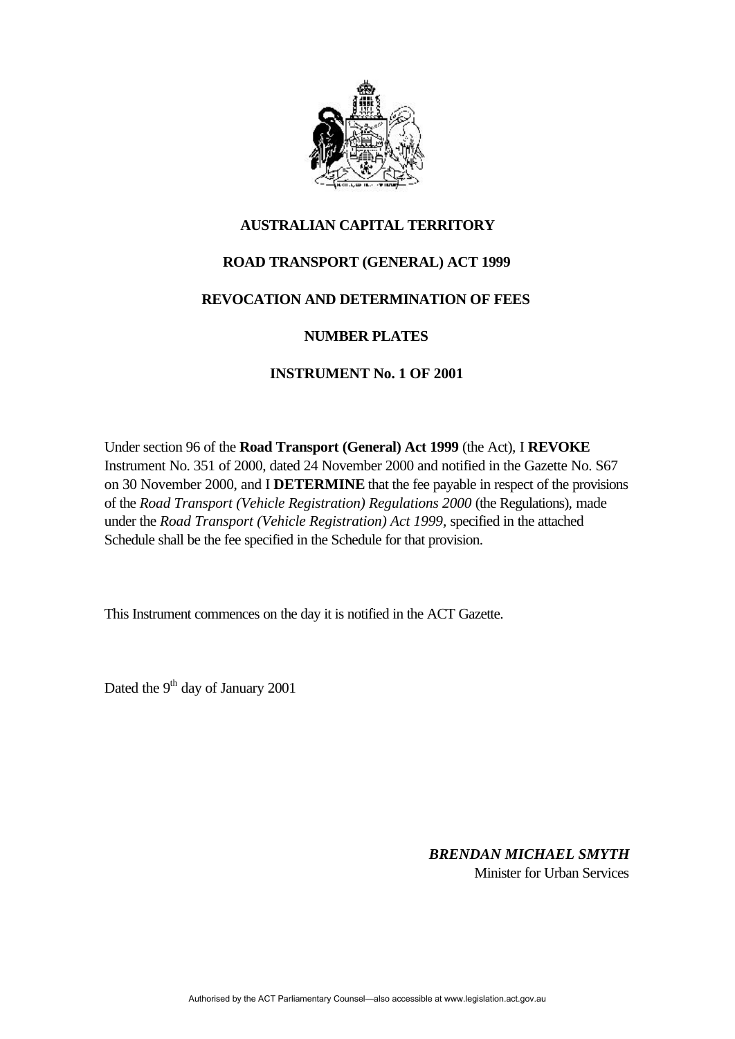

### **AUSTRALIAN CAPITAL TERRITORY**

## **ROAD TRANSPORT (GENERAL) ACT 1999**

### **REVOCATION AND DETERMINATION OF FEES**

#### **NUMBER PLATES**

## **INSTRUMENT No. 1 OF 2001**

Under section 96 of the **Road Transport (General) Act 1999** (the Act)*,* I **REVOKE** Instrument No. 351 of 2000, dated 24 November 2000 and notified in the Gazette No. S67 on 30 November 2000, and I **DETERMINE** that the fee payable in respect of the provisions of the *Road Transport (Vehicle Registration) Regulations 2000* (the Regulations)*,* made under the *Road Transport (Vehicle Registration) Act 1999,* specified in the attached Schedule shall be the fee specified in the Schedule for that provision.

This Instrument commences on the day it is notified in the ACT Gazette.

Dated the 9<sup>th</sup> day of January 2001

*BRENDAN MICHAEL SMYTH* Minister for Urban Services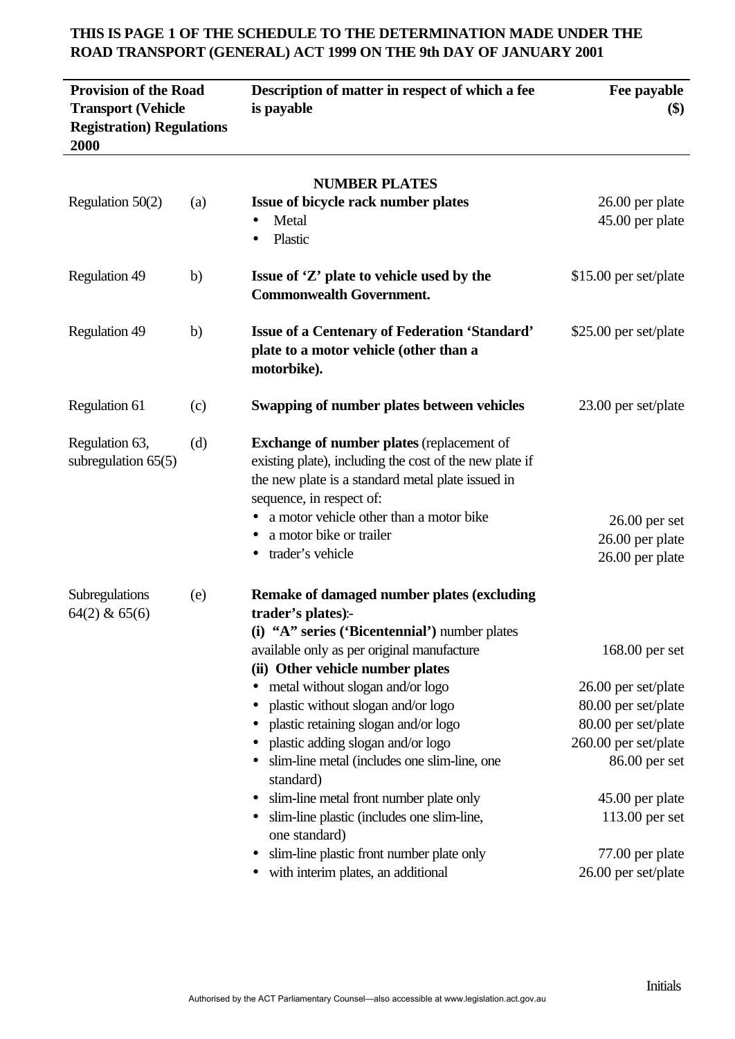| <b>Provision of the Road</b><br><b>Transport (Vehicle</b><br><b>Registration</b> ) Regulations<br>2000 |     | Description of matter in respect of which a fee<br>is payable                                                                                                                                                                                                                                                                                                                                                                                                                                                                                                                                                                                         | Fee payable<br>$\left( \text{\$}\right)$                                                                                                                                                                      |
|--------------------------------------------------------------------------------------------------------|-----|-------------------------------------------------------------------------------------------------------------------------------------------------------------------------------------------------------------------------------------------------------------------------------------------------------------------------------------------------------------------------------------------------------------------------------------------------------------------------------------------------------------------------------------------------------------------------------------------------------------------------------------------------------|---------------------------------------------------------------------------------------------------------------------------------------------------------------------------------------------------------------|
| Regulation 50(2)                                                                                       | (a) | <b>NUMBER PLATES</b><br>Issue of bicycle rack number plates<br>Metal<br>Plastic<br>$\bullet$                                                                                                                                                                                                                                                                                                                                                                                                                                                                                                                                                          | 26.00 per plate<br>45.00 per plate                                                                                                                                                                            |
| <b>Regulation 49</b>                                                                                   | b)  | Issue of 'Z' plate to vehicle used by the<br><b>Commonwealth Government.</b>                                                                                                                                                                                                                                                                                                                                                                                                                                                                                                                                                                          | \$15.00 per set/plate                                                                                                                                                                                         |
| <b>Regulation 49</b>                                                                                   | b)  | <b>Issue of a Centenary of Federation 'Standard'</b><br>plate to a motor vehicle (other than a<br>motorbike).                                                                                                                                                                                                                                                                                                                                                                                                                                                                                                                                         | \$25.00 per set/plate                                                                                                                                                                                         |
| Regulation 61                                                                                          | (c) | Swapping of number plates between vehicles                                                                                                                                                                                                                                                                                                                                                                                                                                                                                                                                                                                                            | 23.00 per set/plate                                                                                                                                                                                           |
| Regulation 63,<br>subregulation $65(5)$                                                                | (d) | <b>Exchange of number plates (replacement of</b><br>existing plate), including the cost of the new plate if<br>the new plate is a standard metal plate issued in<br>sequence, in respect of:<br>a motor vehicle other than a motor bike<br>a motor bike or trailer<br>trader's vehicle<br>$\bullet$                                                                                                                                                                                                                                                                                                                                                   | $26.00$ per set<br>26.00 per plate<br>26.00 per plate                                                                                                                                                         |
| Subregulations<br>$64(2)$ & $65(6)$                                                                    | (e) | <b>Remake of damaged number plates (excluding</b><br>trader's plates):-<br>(i) "A" series ('Bicentennial') number plates<br>available only as per original manufacture<br>(ii) Other vehicle number plates<br>metal without slogan and/or logo<br>plastic without slogan and/or logo<br>$\bullet$<br>plastic retaining slogan and/or logo<br>plastic adding slogan and/or logo<br>slim-line metal (includes one slim-line, one<br>standard)<br>slim-line metal front number plate only<br>slim-line plastic (includes one slim-line,<br>$\bullet$<br>one standard)<br>slim-line plastic front number plate only<br>with interim plates, an additional | $168.00$ per set<br>26.00 per set/plate<br>80.00 per set/plate<br>80.00 per set/plate<br>260.00 per set/plate<br>86.00 per set<br>45.00 per plate<br>113.00 per set<br>77.00 per plate<br>26.00 per set/plate |

# **THIS IS PAGE 1 OF THE SCHEDULE TO THE DETERMINATION MADE UNDER THE ROAD TRANSPORT (GENERAL) ACT 1999 ON THE 9th DAY OF JANUARY 2001**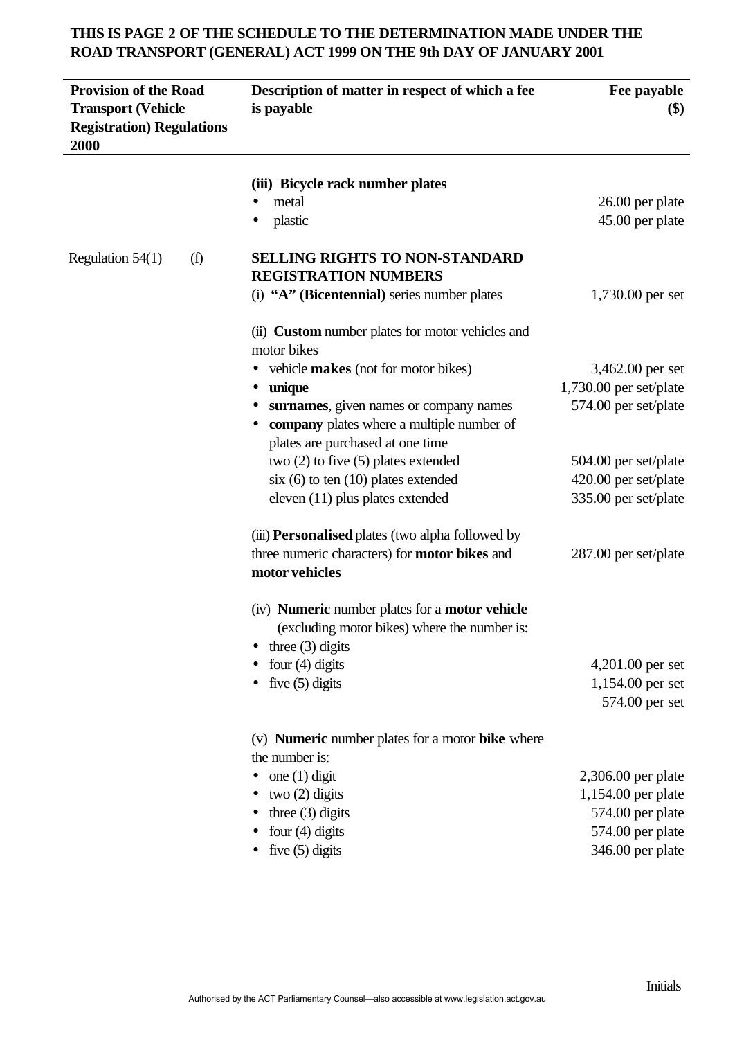# **THIS IS PAGE 2 OF THE SCHEDULE TO THE DETERMINATION MADE UNDER THE ROAD TRANSPORT (GENERAL) ACT 1999 ON THE 9th DAY OF JANUARY 2001**

| <b>Provision of the Road</b><br><b>Transport (Vehicle</b><br><b>Registration</b> ) Regulations<br>2000 | Description of matter in respect of which a fee<br>is payable                                                | Fee payable<br>\$)       |
|--------------------------------------------------------------------------------------------------------|--------------------------------------------------------------------------------------------------------------|--------------------------|
|                                                                                                        | (iii) Bicycle rack number plates                                                                             |                          |
|                                                                                                        | metal                                                                                                        | 26.00 per plate          |
|                                                                                                        | plastic                                                                                                      | 45.00 per plate          |
| (f)<br>Regulation $54(1)$                                                                              | <b>SELLING RIGHTS TO NON-STANDARD</b><br><b>REGISTRATION NUMBERS</b>                                         |                          |
|                                                                                                        | (i) "A" (Bicentennial) series number plates                                                                  | 1,730.00 per set         |
|                                                                                                        | (ii) <b>Custom</b> number plates for motor vehicles and<br>motor bikes                                       |                          |
|                                                                                                        | vehicle makes (not for motor bikes)                                                                          | 3,462.00 per set         |
|                                                                                                        | unique                                                                                                       | $1,730.00$ per set/plate |
|                                                                                                        | surnames, given names or company names                                                                       | 574.00 per set/plate     |
|                                                                                                        | company plates where a multiple number of                                                                    |                          |
|                                                                                                        | plates are purchased at one time                                                                             |                          |
|                                                                                                        | two $(2)$ to five $(5)$ plates extended                                                                      | 504.00 per set/plate     |
|                                                                                                        | $\dot{x}$ (6) to ten (10) plates extended                                                                    | 420.00 per set/plate     |
|                                                                                                        | eleven (11) plus plates extended                                                                             | 335.00 per set/plate     |
|                                                                                                        | (iii) <b>Personalised</b> plates (two alpha followed by                                                      |                          |
|                                                                                                        | three numeric characters) for <b>motor bikes</b> and<br>motor vehicles                                       | 287.00 per set/plate     |
|                                                                                                        | (iv) <b>Numeric</b> number plates for a <b>motor vehicle</b><br>(excluding motor bikes) where the number is: |                          |
|                                                                                                        | three $(3)$ digits                                                                                           |                          |
|                                                                                                        | four $(4)$ digits                                                                                            | 4,201.00 per set         |
|                                                                                                        | five $(5)$ digits                                                                                            | 1,154.00 per set         |
|                                                                                                        |                                                                                                              | 574.00 per set           |
|                                                                                                        | (v) <b>Numeric</b> number plates for a motor <b>bike</b> where                                               |                          |
|                                                                                                        | the number is:                                                                                               |                          |
|                                                                                                        | one $(1)$ digit                                                                                              | 2,306.00 per plate       |
|                                                                                                        | two $(2)$ digits                                                                                             | 1,154.00 per plate       |
|                                                                                                        | three $(3)$ digits                                                                                           | 574.00 per plate         |
|                                                                                                        | four $(4)$ digits                                                                                            | 574.00 per plate         |
|                                                                                                        | five $(5)$ digits                                                                                            | 346.00 per plate         |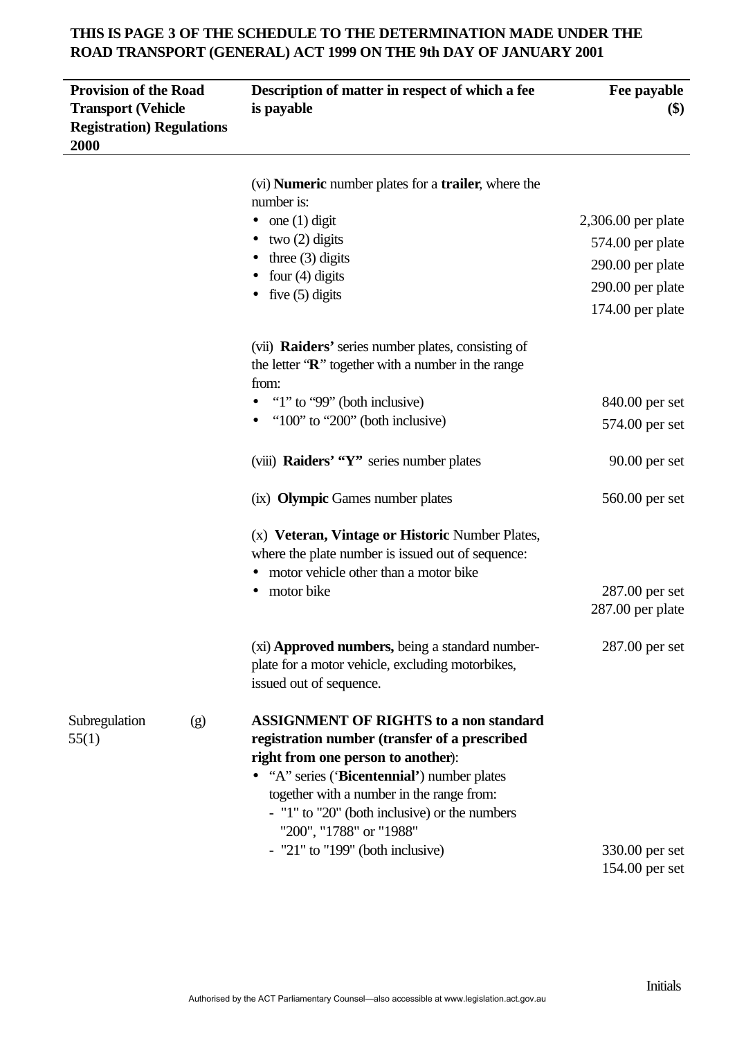# **THIS IS PAGE 3 OF THE SCHEDULE TO THE DETERMINATION MADE UNDER THE ROAD TRANSPORT (GENERAL) ACT 1999 ON THE 9th DAY OF JANUARY 2001**

| <b>Provision of the Road</b><br><b>Transport (Vehicle</b><br><b>Registration</b> ) Regulations<br>2000 | Description of matter in respect of which a fee<br>is payable                                                                                                                                                                                                                                                | Fee payable<br>\$)                                       |
|--------------------------------------------------------------------------------------------------------|--------------------------------------------------------------------------------------------------------------------------------------------------------------------------------------------------------------------------------------------------------------------------------------------------------------|----------------------------------------------------------|
|                                                                                                        | (vi) <b>Numeric</b> number plates for a <b>trailer</b> , where the<br>number is:                                                                                                                                                                                                                             |                                                          |
|                                                                                                        | one $(1)$ digit<br>$\bullet$<br>two $(2)$ digits<br>three $(3)$ digits                                                                                                                                                                                                                                       | 2,306.00 per plate<br>574.00 per plate                   |
|                                                                                                        | four $(4)$ digits<br>five $(5)$ digits                                                                                                                                                                                                                                                                       | 290.00 per plate<br>290.00 per plate<br>174.00 per plate |
|                                                                                                        | (vii) Raiders' series number plates, consisting of<br>the letter $\mathbf{R}$ " together with a number in the range<br>from:                                                                                                                                                                                 |                                                          |
|                                                                                                        | "1" to "99" (both inclusive)                                                                                                                                                                                                                                                                                 | 840.00 per set                                           |
|                                                                                                        | " $100$ " to " $200$ " (both inclusive)                                                                                                                                                                                                                                                                      | 574.00 per set                                           |
|                                                                                                        | (viii) Raiders' "Y" series number plates                                                                                                                                                                                                                                                                     | $90.00$ per set                                          |
|                                                                                                        | (ix) Olympic Games number plates                                                                                                                                                                                                                                                                             | 560.00 per set                                           |
|                                                                                                        | (x) Veteran, Vintage or Historic Number Plates,<br>where the plate number is issued out of sequence:<br>motor vehicle other than a motor bike<br>motor bike                                                                                                                                                  | 287.00 per set                                           |
|                                                                                                        |                                                                                                                                                                                                                                                                                                              | 287.00 per plate                                         |
|                                                                                                        | (xi) Approved numbers, being a standard number-<br>plate for a motor vehicle, excluding motorbikes,<br>issued out of sequence.                                                                                                                                                                               | $287.00$ per set                                         |
| Subregulation<br>(g)<br>55(1)                                                                          | <b>ASSIGNMENT OF RIGHTS to a non standard</b><br>registration number (transfer of a prescribed<br>right from one person to another):<br>• "A" series ('Bicentennial') number plates<br>together with a number in the range from:<br>- "1" to "20" (both inclusive) or the numbers<br>"200", "1788" or "1988" |                                                          |
|                                                                                                        | $-$ "21" to "199" (both inclusive)                                                                                                                                                                                                                                                                           | 330.00 per set<br>154.00 per set                         |